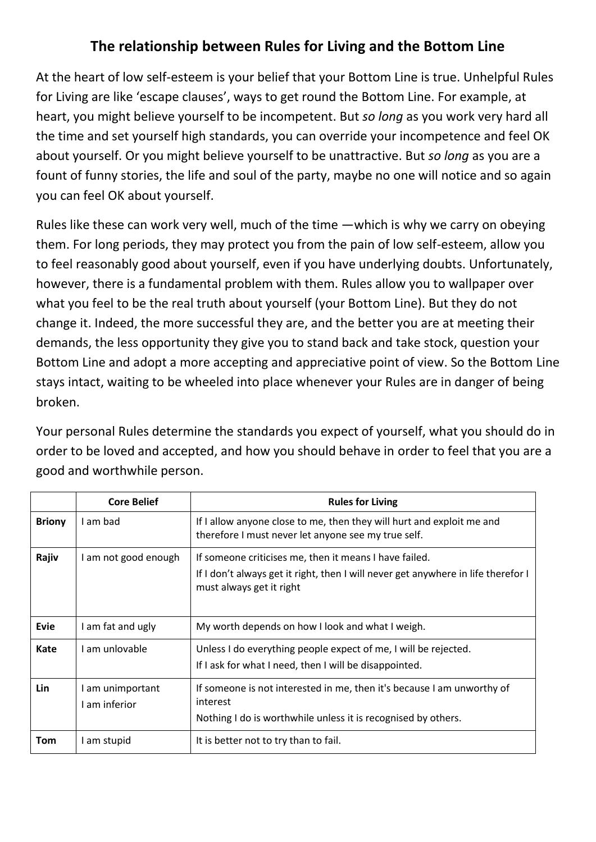## **The relationship between Rules for Living and the Bottom Line**

At the heart of low self-esteem is your belief that your Bottom Line is true. Unhelpful Rules for Living are like 'escape clauses', ways to get round the Bottom Line. For example, at heart, you might believe yourself to be incompetent. But *so long* as you work very hard all the time and set yourself high standards, you can override your incompetence and feel OK about yourself. Or you might believe yourself to be unattractive. But *so long* as you are a fount of funny stories, the life and soul of the party, maybe no one will notice and so again you can feel OK about yourself.

Rules like these can work very well, much of the time —which is why we carry on obeying them. For long periods, they may protect you from the pain of low self-esteem, allow you to feel reasonably good about yourself, even if you have underlying doubts. Unfortunately, however, there is a fundamental problem with them. Rules allow you to wallpaper over what you feel to be the real truth about yourself (your Bottom Line). But they do not change it. Indeed, the more successful they are, and the better you are at meeting their demands, the less opportunity they give you to stand back and take stock, question your Bottom Line and adopt a more accepting and appreciative point of view. So the Bottom Line stays intact, waiting to be wheeled into place whenever your Rules are in danger of being broken.

Your personal Rules determine the standards you expect of yourself, what you should do in order to be loved and accepted, and how you should behave in order to feel that you are a good and worthwhile person.

|               | <b>Core Belief</b>                | <b>Rules for Living</b>                                                                                                                                                 |
|---------------|-----------------------------------|-------------------------------------------------------------------------------------------------------------------------------------------------------------------------|
| <b>Briony</b> | I am bad                          | If I allow anyone close to me, then they will hurt and exploit me and<br>therefore I must never let anyone see my true self.                                            |
| Rajiv         | I am not good enough              | If someone criticises me, then it means I have failed.<br>If I don't always get it right, then I will never get anywhere in life therefor I<br>must always get it right |
| Evie          | I am fat and ugly                 | My worth depends on how I look and what I weigh.                                                                                                                        |
| Kate          | I am unlovable                    | Unless I do everything people expect of me, I will be rejected.<br>If I ask for what I need, then I will be disappointed.                                               |
| Lin           | I am unimportant<br>I am inferior | If someone is not interested in me, then it's because I am unworthy of<br>interest<br>Nothing I do is worthwhile unless it is recognised by others.                     |
| Tom           | am stupid                         | It is better not to try than to fail.                                                                                                                                   |